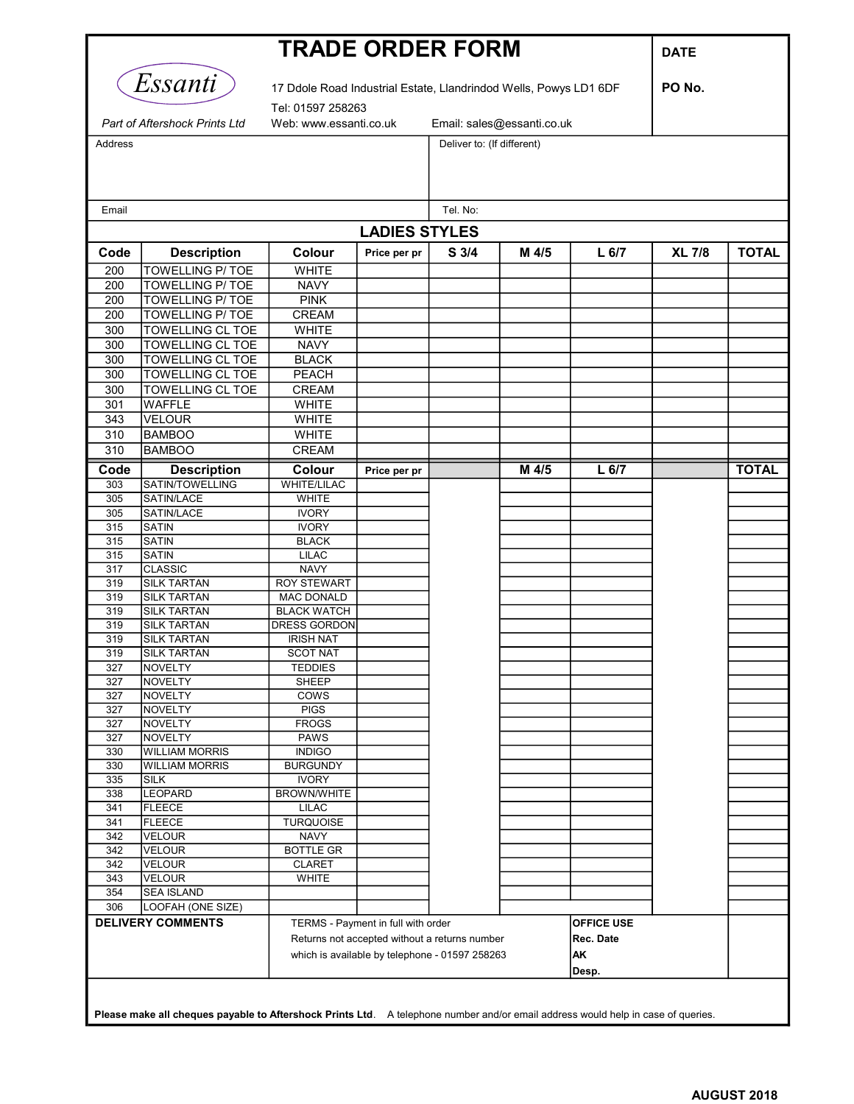| <b>TRADE ORDER FORM</b>       |                                                                                                                                  |                                                                                     |              |                            |       |                   |               |              |  |  |  |  |
|-------------------------------|----------------------------------------------------------------------------------------------------------------------------------|-------------------------------------------------------------------------------------|--------------|----------------------------|-------|-------------------|---------------|--------------|--|--|--|--|
|                               | <i>Essanti</i>                                                                                                                   | 17 Ddole Road Industrial Estate, Llandrindod Wells, Powys LD1 6DF                   |              |                            |       |                   | PO No.        |              |  |  |  |  |
| Part of Aftershock Prints Ltd |                                                                                                                                  | Tel: 01597 258263                                                                   |              |                            |       |                   |               |              |  |  |  |  |
|                               |                                                                                                                                  | Web: www.essanti.co.uk                                                              |              | Email: sales@essanti.co.uk |       |                   |               |              |  |  |  |  |
| Address                       |                                                                                                                                  |                                                                                     |              | Deliver to: (If different) |       |                   |               |              |  |  |  |  |
|                               |                                                                                                                                  |                                                                                     |              |                            |       |                   |               |              |  |  |  |  |
|                               |                                                                                                                                  |                                                                                     |              |                            |       |                   |               |              |  |  |  |  |
| Email                         |                                                                                                                                  |                                                                                     |              | Tel. No:                   |       |                   |               |              |  |  |  |  |
| <b>LADIES STYLES</b>          |                                                                                                                                  |                                                                                     |              |                            |       |                   |               |              |  |  |  |  |
|                               |                                                                                                                                  |                                                                                     |              |                            |       |                   |               |              |  |  |  |  |
| Code                          | <b>Description</b>                                                                                                               | Colour                                                                              | Price per pr | S <sub>3/4</sub>           | M 4/5 | L <sub>6/7</sub>  | <b>XL 7/8</b> | <b>TOTAL</b> |  |  |  |  |
| 200<br>200                    | <b>TOWELLING P/TOE</b><br><b>TOWELLING P/ TOE</b>                                                                                | <b>WHITE</b><br><b>NAVY</b>                                                         |              |                            |       |                   |               |              |  |  |  |  |
| 200                           | <b>TOWELLING P/ TOE</b>                                                                                                          | <b>PINK</b>                                                                         |              |                            |       |                   |               |              |  |  |  |  |
| 200                           | <b>TOWELLING P/ TOE</b>                                                                                                          | <b>CREAM</b>                                                                        |              |                            |       |                   |               |              |  |  |  |  |
| 300                           | <b>TOWELLING CL TOE</b>                                                                                                          | <b>WHITE</b>                                                                        |              |                            |       |                   |               |              |  |  |  |  |
| 300                           | <b>TOWELLING CL TOE</b>                                                                                                          | <b>NAVY</b>                                                                         |              |                            |       |                   |               |              |  |  |  |  |
| 300                           | <b>TOWELLING CL TOE</b>                                                                                                          | <b>BLACK</b>                                                                        |              |                            |       |                   |               |              |  |  |  |  |
| 300                           | <b>TOWELLING CL TOE</b>                                                                                                          | PEACH                                                                               |              |                            |       |                   |               |              |  |  |  |  |
| 300                           | <b>TOWELLING CL TOE</b>                                                                                                          | CREAM                                                                               |              |                            |       |                   |               |              |  |  |  |  |
| 301                           | <b>WAFFLE</b>                                                                                                                    | <b>WHITE</b>                                                                        |              |                            |       |                   |               |              |  |  |  |  |
| 343                           | <b>VELOUR</b>                                                                                                                    | <b>WHITE</b>                                                                        |              |                            |       |                   |               |              |  |  |  |  |
| 310                           | <b>BAMBOO</b>                                                                                                                    | <b>WHITE</b>                                                                        |              |                            |       |                   |               |              |  |  |  |  |
| 310                           | <b>BAMBOO</b>                                                                                                                    | <b>CREAM</b>                                                                        |              |                            |       |                   |               |              |  |  |  |  |
| Code                          | <b>Description</b>                                                                                                               | Colour                                                                              | Price per pr |                            | M 4/5 | L <sub>6/7</sub>  |               | <b>TOTAL</b> |  |  |  |  |
| 303                           | SATIN/TOWELLING                                                                                                                  | <b>WHITE/LILAC</b>                                                                  |              |                            |       |                   |               |              |  |  |  |  |
| 305                           | SATIN/LACE                                                                                                                       | <b>WHITE</b>                                                                        |              |                            |       |                   |               |              |  |  |  |  |
| 305                           | SATIN/LACE                                                                                                                       | <b>IVORY</b>                                                                        |              |                            |       |                   |               |              |  |  |  |  |
| 315                           | <b>SATIN</b>                                                                                                                     | <b>IVORY</b>                                                                        |              |                            |       |                   |               |              |  |  |  |  |
| 315                           | <b>SATIN</b>                                                                                                                     | <b>BLACK</b>                                                                        |              |                            |       |                   |               |              |  |  |  |  |
| 315                           | <b>SATIN</b>                                                                                                                     | <b>LILAC</b>                                                                        |              |                            |       |                   |               |              |  |  |  |  |
| 317                           | <b>CLASSIC</b>                                                                                                                   | <b>NAVY</b>                                                                         |              |                            |       |                   |               |              |  |  |  |  |
| 319<br>319                    | <b>SILK TARTAN</b><br><b>SILK TARTAN</b>                                                                                         | <b>ROY STEWART</b><br><b>MAC DONALD</b>                                             |              |                            |       |                   |               |              |  |  |  |  |
| 319                           | <b>SILK TARTAN</b>                                                                                                               | <b>BLACK WATCH</b>                                                                  |              |                            |       |                   |               |              |  |  |  |  |
| 319                           | <b>SILK TARTAN</b>                                                                                                               | DRESS GORDON                                                                        |              |                            |       |                   |               |              |  |  |  |  |
| 319                           | <b>SILK TARTAN</b>                                                                                                               | <b>IRISH NAT</b>                                                                    |              |                            |       |                   |               |              |  |  |  |  |
| 319                           | <b>ISILK TARTAN</b>                                                                                                              | <b>SCOT NAT</b>                                                                     |              |                            |       |                   |               |              |  |  |  |  |
| 327                           | NOVELTY                                                                                                                          | <b>TEDDIES</b>                                                                      |              |                            |       |                   |               |              |  |  |  |  |
| 327                           | <b>NOVELTY</b>                                                                                                                   | <b>SHEEP</b>                                                                        |              |                            |       |                   |               |              |  |  |  |  |
| 327                           | <b>NOVELTY</b>                                                                                                                   | <b>COWS</b>                                                                         |              |                            |       |                   |               |              |  |  |  |  |
| 327                           | NOVELTY                                                                                                                          | <b>PIGS</b>                                                                         |              |                            |       |                   |               |              |  |  |  |  |
| 327<br>327                    | <b>NOVELTY</b><br><b>NOVELTY</b>                                                                                                 | <b>FROGS</b><br><b>PAWS</b>                                                         |              |                            |       |                   |               |              |  |  |  |  |
| 330                           | <b>WILLIAM MORRIS</b>                                                                                                            | <b>INDIGO</b>                                                                       |              |                            |       |                   |               |              |  |  |  |  |
| 330                           | <b>WILLIAM MORRIS</b>                                                                                                            | <b>BURGUNDY</b>                                                                     |              |                            |       |                   |               |              |  |  |  |  |
| 335                           | <b>SILK</b>                                                                                                                      | <b>IVORY</b>                                                                        |              |                            |       |                   |               |              |  |  |  |  |
| 338                           | LEOPARD                                                                                                                          | BROWN/WHITE                                                                         |              |                            |       |                   |               |              |  |  |  |  |
| 341                           | <b>FLEECE</b>                                                                                                                    | <b>LILAC</b>                                                                        |              |                            |       |                   |               |              |  |  |  |  |
| 341                           | <b>FLEECE</b>                                                                                                                    | <b>TURQUOISE</b>                                                                    |              |                            |       |                   |               |              |  |  |  |  |
| 342                           | <b>VELOUR</b>                                                                                                                    | <b>NAVY</b>                                                                         |              |                            |       |                   |               |              |  |  |  |  |
| 342                           | <b>VELOUR</b>                                                                                                                    | <b>BOTTLE GR</b>                                                                    |              |                            |       |                   |               |              |  |  |  |  |
| 342<br>343                    | <b>VELOUR</b><br><b>VELOUR</b>                                                                                                   | <b>CLARET</b><br><b>WHITE</b>                                                       |              |                            |       |                   |               |              |  |  |  |  |
| 354                           | <b>SEA ISLAND</b>                                                                                                                |                                                                                     |              |                            |       |                   |               |              |  |  |  |  |
| 306                           | LOOFAH (ONE SIZE)                                                                                                                |                                                                                     |              |                            |       |                   |               |              |  |  |  |  |
|                               | <b>DELIVERY COMMENTS</b>                                                                                                         |                                                                                     |              |                            |       | <b>OFFICE USE</b> |               |              |  |  |  |  |
|                               |                                                                                                                                  | TERMS - Payment in full with order<br>Returns not accepted without a returns number |              |                            |       | Rec. Date         |               |              |  |  |  |  |
|                               |                                                                                                                                  | which is available by telephone - 01597 258263                                      |              |                            |       | AΚ                |               |              |  |  |  |  |
|                               |                                                                                                                                  |                                                                                     |              |                            |       | Desp.             |               |              |  |  |  |  |
|                               |                                                                                                                                  |                                                                                     |              |                            |       |                   |               |              |  |  |  |  |
|                               | Please make all cheques payable to Aftershock Prints Ltd. A telephone number and/or email address would help in case of queries. |                                                                                     |              |                            |       |                   |               |              |  |  |  |  |